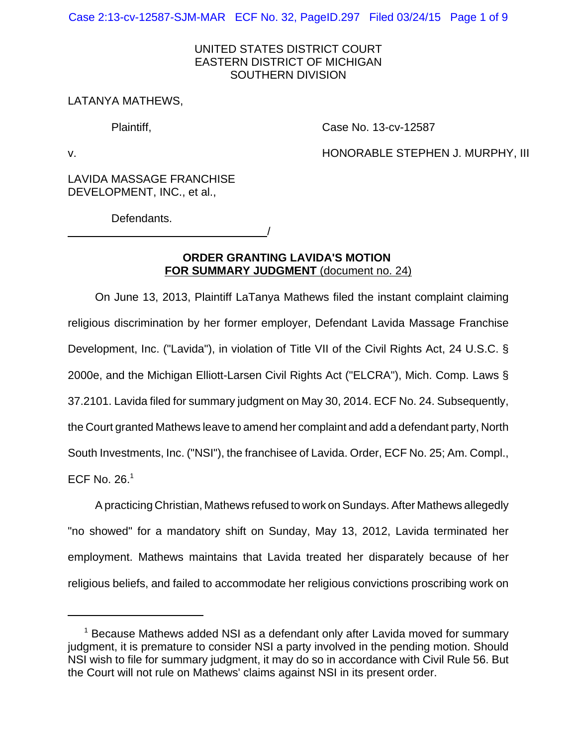Case 2:13-cv-12587-SJM-MAR ECF No. 32, PageID.297 Filed 03/24/15 Page 1 of 9

# UNITED STATES DISTRICT COURT EASTERN DISTRICT OF MICHIGAN SOUTHERN DIVISION

## LATANYA MATHEWS,

Plaintiff,

Case No. 13-cv-12587

v.

HONORABLE STEPHEN J. MURPHY, III

LAVIDA MASSAGE FRANCHISE DEVELOPMENT, INC., et al.,

<u>/</u>

Defendants.

# **ORDER GRANTING LAVIDA'S MOTION FOR SUMMARY JUDGMENT** (document no. 24)

On June 13, 2013, Plaintiff LaTanya Mathews filed the instant complaint claiming religious discrimination by her former employer, Defendant Lavida Massage Franchise Development, Inc. ("Lavida"), in violation of Title VII of the Civil Rights Act, 24 U.S.C. § 2000e, and the Michigan Elliott-Larsen Civil Rights Act ("ELCRA"), Mich. Comp. Laws § 37.2101. Lavida filed for summary judgment on May 30, 2014. ECF No. 24. Subsequently, the Court granted Mathews leave to amend her complaint and add a defendant party, North South Investments, Inc. ("NSI"), the franchisee of Lavida. Order, ECF No. 25; Am. Compl., ECF No.  $26.<sup>1</sup>$ 

A practicing Christian, Mathews refused to work on Sundays. After Mathews allegedly "no showed" for a mandatory shift on Sunday, May 13, 2012, Lavida terminated her employment. Mathews maintains that Lavida treated her disparately because of her religious beliefs, and failed to accommodate her religious convictions proscribing work on

<sup>&</sup>lt;sup>1</sup> Because Mathews added NSI as a defendant only after Lavida moved for summary judgment, it is premature to consider NSI a party involved in the pending motion. Should NSI wish to file for summary judgment, it may do so in accordance with Civil Rule 56. But the Court will not rule on Mathews' claims against NSI in its present order.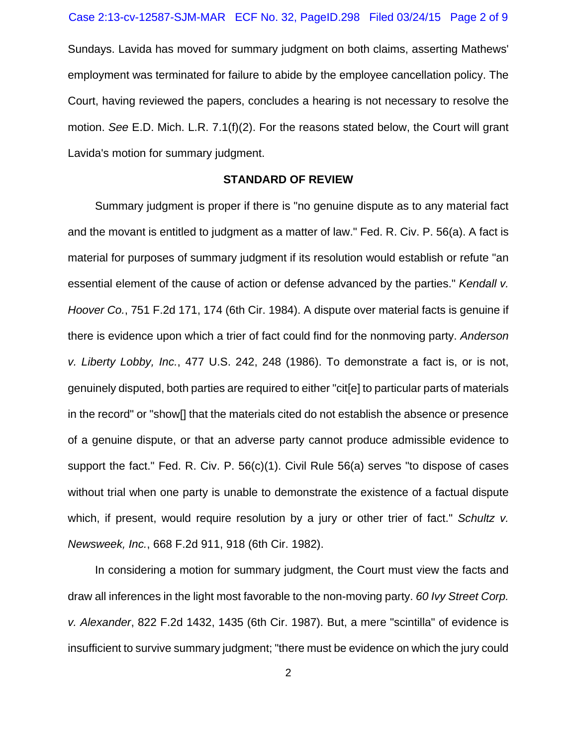Sundays. Lavida has moved for summary judgment on both claims, asserting Mathews' employment was terminated for failure to abide by the employee cancellation policy. The Court, having reviewed the papers, concludes a hearing is not necessary to resolve the motion. *See* E.D. Mich. L.R. 7.1(f)(2). For the reasons stated below, the Court will grant Lavida's motion for summary judgment.

#### **STANDARD OF REVIEW**

Summary judgment is proper if there is "no genuine dispute as to any material fact and the movant is entitled to judgment as a matter of law." Fed. R. Civ. P. 56(a). A fact is material for purposes of summary judgment if its resolution would establish or refute "an essential element of the cause of action or defense advanced by the parties." *Kendall v. Hoover Co.*, 751 F.2d 171, 174 (6th Cir. 1984). A dispute over material facts is genuine if there is evidence upon which a trier of fact could find for the nonmoving party. *Anderson v. Liberty Lobby, Inc.*, 477 U.S. 242, 248 (1986). To demonstrate a fact is, or is not, genuinely disputed, both parties are required to either "cit[e] to particular parts of materials in the record" or "show[] that the materials cited do not establish the absence or presence of a genuine dispute, or that an adverse party cannot produce admissible evidence to support the fact." Fed. R. Civ. P. 56(c)(1). Civil Rule 56(a) serves "to dispose of cases without trial when one party is unable to demonstrate the existence of a factual dispute which, if present, would require resolution by a jury or other trier of fact." *Schultz v. Newsweek, Inc.*, 668 F.2d 911, 918 (6th Cir. 1982).

In considering a motion for summary judgment, the Court must view the facts and draw all inferences in the light most favorable to the non-moving party. *60 Ivy Street Corp. v. Alexander*, 822 F.2d 1432, 1435 (6th Cir. 1987). But, a mere "scintilla" of evidence is insufficient to survive summary judgment; "there must be evidence on which the jury could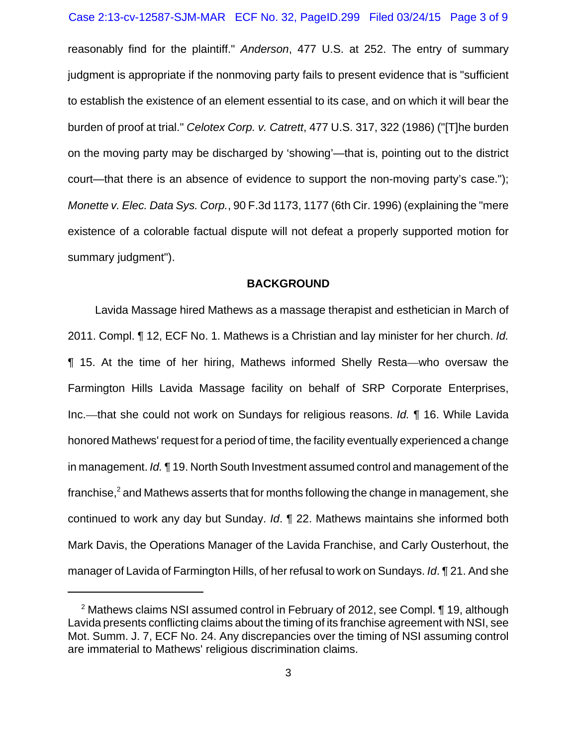reasonably find for the plaintiff." *Anderson*, 477 U.S. at 252. The entry of summary judgment is appropriate if the nonmoving party fails to present evidence that is "sufficient to establish the existence of an element essential to its case, and on which it will bear the burden of proof at trial." *Celotex Corp. v. Catrett*, 477 U.S. 317, 322 (1986) ("[T]he burden on the moving party may be discharged by 'showing'—that is, pointing out to the district court—that there is an absence of evidence to support the non-moving party's case."); *Monette v. Elec. Data Sys. Corp.*, 90 F.3d 1173, 1177 (6th Cir. 1996) (explaining the "mere existence of a colorable factual dispute will not defeat a properly supported motion for summary judgment").

#### **BACKGROUND**

Lavida Massage hired Mathews as a massage therapist and esthetician in March of 2011. Compl. ¶ 12, ECF No. 1. Mathews is a Christian and lay minister for her church. *Id.* ¶ 15. At the time of her hiring, Mathews informed Shelly Resta—who oversaw the Farmington Hills Lavida Massage facility on behalf of SRP Corporate Enterprises, Inc.—that she could not work on Sundays for religious reasons. *Id.* ¶ 16. While Lavida honored Mathews' request for a period of time, the facility eventually experienced a change in management. *Id.* ¶ 19. North South Investment assumed control and management of the franchise, $^2$  and Mathews asserts that for months following the change in management, she continued to work any day but Sunday. *Id*. ¶ 22. Mathews maintains she informed both Mark Davis, the Operations Manager of the Lavida Franchise, and Carly Ousterhout, the manager of Lavida of Farmington Hills, of her refusal to work on Sundays. *Id*. ¶ 21. And she

<sup>&</sup>lt;sup>2</sup> Mathews claims NSI assumed control in February of 2012, see Compl. ¶ 19, although Lavida presents conflicting claims about the timing of its franchise agreement with NSI, see Mot. Summ. J. 7, ECF No. 24. Any discrepancies over the timing of NSI assuming control are immaterial to Mathews' religious discrimination claims.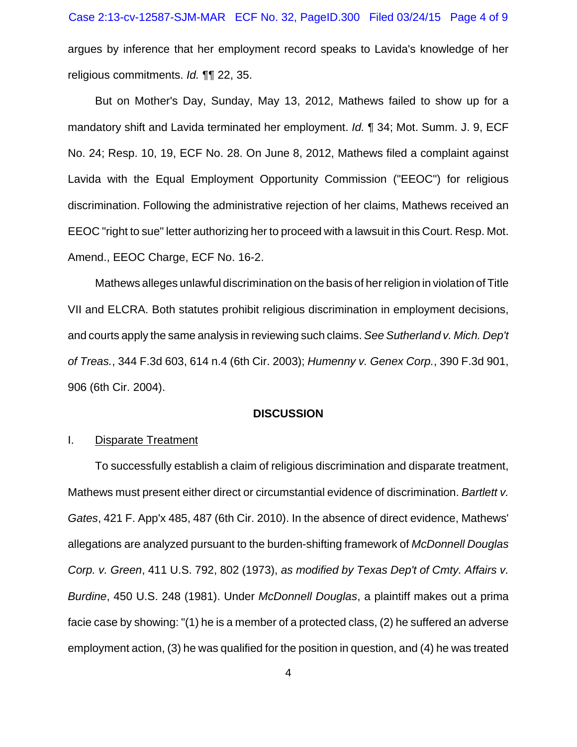argues by inference that her employment record speaks to Lavida's knowledge of her religious commitments. *Id.* ¶¶ 22, 35.

But on Mother's Day, Sunday, May 13, 2012, Mathews failed to show up for a mandatory shift and Lavida terminated her employment. *Id.* ¶ 34; Mot. Summ. J. 9, ECF No. 24; Resp. 10, 19, ECF No. 28. On June 8, 2012, Mathews filed a complaint against Lavida with the Equal Employment Opportunity Commission ("EEOC") for religious discrimination. Following the administrative rejection of her claims, Mathews received an EEOC "right to sue" letter authorizing her to proceed with a lawsuit in this Court. Resp. Mot. Amend., EEOC Charge, ECF No. 16-2.

Mathews alleges unlawful discrimination on the basis of her religion in violation of Title VII and ELCRA. Both statutes prohibit religious discrimination in employment decisions, and courts apply the same analysis in reviewing such claims. *See Sutherland v. Mich. Dep't of Treas.*, 344 F.3d 603, 614 n.4 (6th Cir. 2003); *Humenny v. Genex Corp.*, 390 F.3d 901, 906 (6th Cir. 2004).

### **DISCUSSION**

### I. Disparate Treatment

To successfully establish a claim of religious discrimination and disparate treatment, Mathews must present either direct or circumstantial evidence of discrimination. *Bartlett v. Gates*, 421 F. App'x 485, 487 (6th Cir. 2010). In the absence of direct evidence, Mathews' allegations are analyzed pursuant to the burden-shifting framework of *McDonnell Douglas Corp. v. Green*, 411 U.S. 792, 802 (1973), *as modified by Texas Dep't of Cmty. Affairs v. Burdine*, 450 U.S. 248 (1981). Under *McDonnell Douglas*, a plaintiff makes out a prima facie case by showing: "(1) he is a member of a protected class, (2) he suffered an adverse employment action, (3) he was qualified for the position in question, and (4) he was treated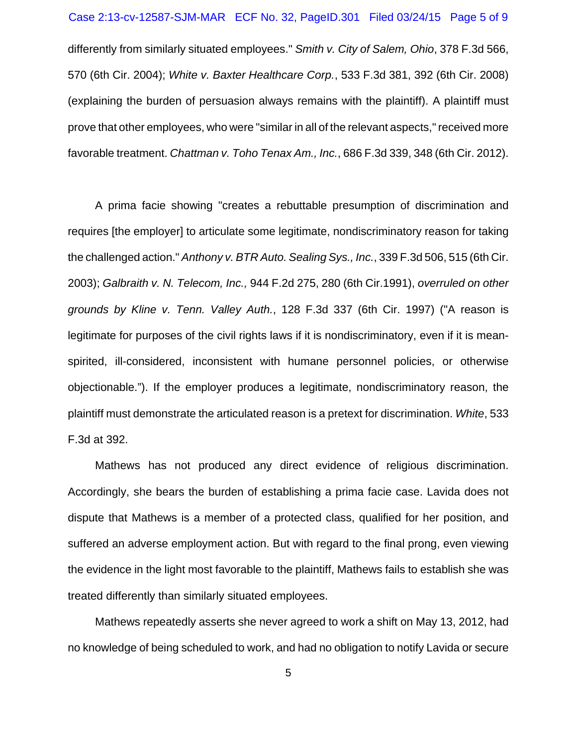### Case 2:13-cv-12587-SJM-MAR ECF No. 32, PageID.301 Filed 03/24/15 Page 5 of 9

differently from similarly situated employees." *Smith v. City of Salem, Ohio*, 378 F.3d 566, 570 (6th Cir. 2004); *White v. Baxter Healthcare Corp.*, 533 F.3d 381, 392 (6th Cir. 2008) (explaining the burden of persuasion always remains with the plaintiff). A plaintiff must prove that other employees, who were "similar in all of the relevant aspects," received more favorable treatment. *Chattman v. Toho Tenax Am., Inc.*, 686 F.3d 339, 348 (6th Cir. 2012).

A prima facie showing "creates a rebuttable presumption of discrimination and requires [the employer] to articulate some legitimate, nondiscriminatory reason for taking the challenged action." *Anthony v. BTR Auto. Sealing Sys., Inc.*, 339 F.3d 506, 515 (6th Cir. 2003); *Galbraith v. N. Telecom, Inc.,* 944 F.2d 275, 280 (6th Cir.1991), *overruled on other grounds by Kline v. Tenn. Valley Auth.*, 128 F.3d 337 (6th Cir. 1997) ("A reason is legitimate for purposes of the civil rights laws if it is nondiscriminatory, even if it is meanspirited, ill-considered, inconsistent with humane personnel policies, or otherwise objectionable."). If the employer produces a legitimate, nondiscriminatory reason, the plaintiff must demonstrate the articulated reason is a pretext for discrimination. *White*, 533 F.3d at 392.

Mathews has not produced any direct evidence of religious discrimination. Accordingly, she bears the burden of establishing a prima facie case. Lavida does not dispute that Mathews is a member of a protected class, qualified for her position, and suffered an adverse employment action. But with regard to the final prong, even viewing the evidence in the light most favorable to the plaintiff, Mathews fails to establish she was treated differently than similarly situated employees.

Mathews repeatedly asserts she never agreed to work a shift on May 13, 2012, had no knowledge of being scheduled to work, and had no obligation to notify Lavida or secure

5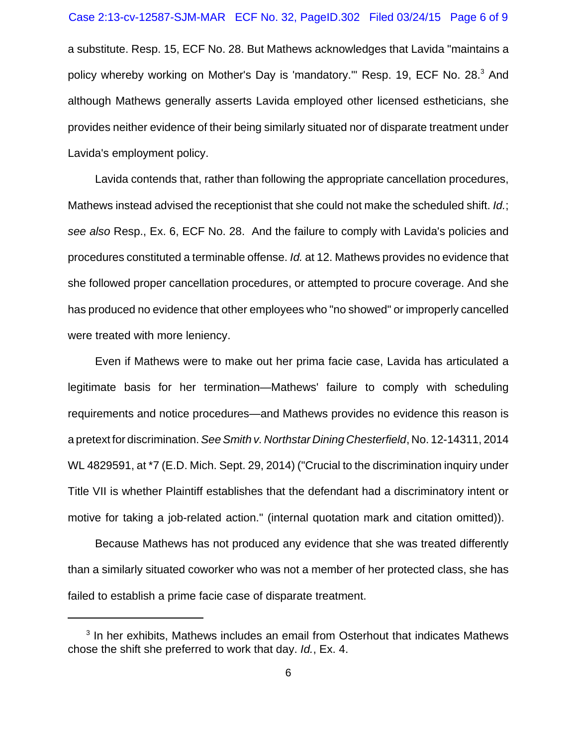#### Case 2:13-cv-12587-SJM-MAR ECF No. 32, PageID.302 Filed 03/24/15 Page 6 of 9

a substitute. Resp. 15, ECF No. 28. But Mathews acknowledges that Lavida "maintains a policy whereby working on Mother's Day is 'mandatory." Resp. 19, ECF No. 28.<sup>3</sup> And although Mathews generally asserts Lavida employed other licensed estheticians, she provides neither evidence of their being similarly situated nor of disparate treatment under Lavida's employment policy.

Lavida contends that, rather than following the appropriate cancellation procedures, Mathews instead advised the receptionist that she could not make the scheduled shift. *Id.*; *see also* Resp., Ex. 6, ECF No. 28. And the failure to comply with Lavida's policies and procedures constituted a terminable offense. *Id.* at 12. Mathews provides no evidence that she followed proper cancellation procedures, or attempted to procure coverage. And she has produced no evidence that other employees who "no showed" or improperly cancelled were treated with more leniency.

Even if Mathews were to make out her prima facie case, Lavida has articulated a legitimate basis for her termination—Mathews' failure to comply with scheduling requirements and notice procedures—and Mathews provides no evidence this reason is a pretext for discrimination. *See Smith v. Northstar Dining Chesterfield*, No. 12-14311, 2014 WL 4829591, at \*7 (E.D. Mich. Sept. 29, 2014) ("Crucial to the discrimination inquiry under Title VII is whether Plaintiff establishes that the defendant had a discriminatory intent or motive for taking a job-related action." (internal quotation mark and citation omitted)).

Because Mathews has not produced any evidence that she was treated differently than a similarly situated coworker who was not a member of her protected class, she has failed to establish a prime facie case of disparate treatment.

<sup>&</sup>lt;sup>3</sup> In her exhibits, Mathews includes an email from Osterhout that indicates Mathews chose the shift she preferred to work that day. *Id.*, Ex. 4.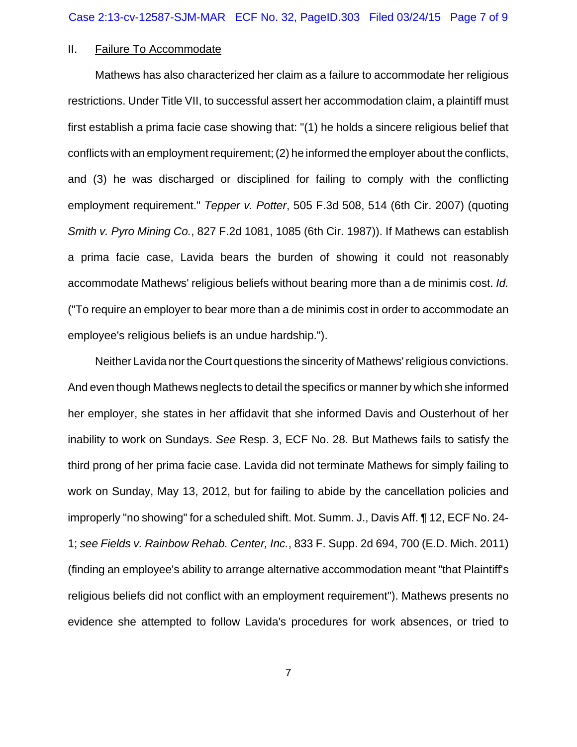## II. Failure To Accommodate

Mathews has also characterized her claim as a failure to accommodate her religious restrictions. Under Title VII, to successful assert her accommodation claim, a plaintiff must first establish a prima facie case showing that: "(1) he holds a sincere religious belief that conflicts with an employment requirement; (2) he informed the employer about the conflicts, and (3) he was discharged or disciplined for failing to comply with the conflicting employment requirement." *Tepper v. Potter*, 505 F.3d 508, 514 (6th Cir. 2007) (quoting *Smith v. Pyro Mining Co.*, 827 F.2d 1081, 1085 (6th Cir. 1987)). If Mathews can establish a prima facie case, Lavida bears the burden of showing it could not reasonably accommodate Mathews' religious beliefs without bearing more than a de minimis cost. *Id.* ("To require an employer to bear more than a de minimis cost in order to accommodate an employee's religious beliefs is an undue hardship.").

Neither Lavida nor the Court questions the sincerity of Mathews' religious convictions. And even though Mathews neglects to detail the specifics or manner by which she informed her employer, she states in her affidavit that she informed Davis and Ousterhout of her inability to work on Sundays. *See* Resp. 3, ECF No. 28. But Mathews fails to satisfy the third prong of her prima facie case. Lavida did not terminate Mathews for simply failing to work on Sunday, May 13, 2012, but for failing to abide by the cancellation policies and improperly "no showing" for a scheduled shift. Mot. Summ. J., Davis Aff. ¶ 12, ECF No. 24- 1; *see Fields v. Rainbow Rehab. Center, Inc.*, 833 F. Supp. 2d 694, 700 (E.D. Mich. 2011) (finding an employee's ability to arrange alternative accommodation meant "that Plaintiff's religious beliefs did not conflict with an employment requirement"). Mathews presents no evidence she attempted to follow Lavida's procedures for work absences, or tried to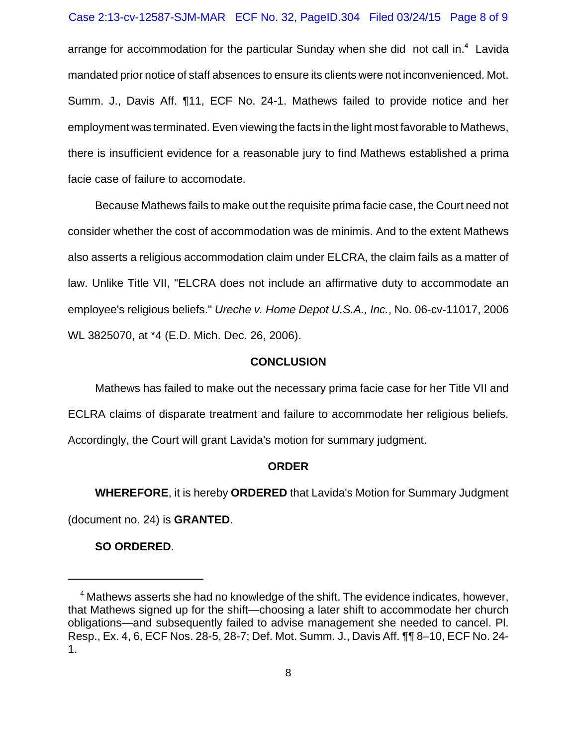#### Case 2:13-cv-12587-SJM-MAR ECF No. 32, PageID.304 Filed 03/24/15 Page 8 of 9

arrange for accommodation for the particular Sunday when she did not call in. $4$  Lavida mandated prior notice of staff absences to ensure its clients were not inconvenienced. Mot. Summ. J., Davis Aff. ¶11, ECF No. 24-1. Mathews failed to provide notice and her employment was terminated. Even viewing the facts in the light most favorable to Mathews, there is insufficient evidence for a reasonable jury to find Mathews established a prima facie case of failure to accomodate.

Because Mathews fails to make out the requisite prima facie case, the Court need not consider whether the cost of accommodation was de minimis. And to the extent Mathews also asserts a religious accommodation claim under ELCRA, the claim fails as a matter of law. Unlike Title VII, "ELCRA does not include an affirmative duty to accommodate an employee's religious beliefs." *Ureche v. Home Depot U.S.A., Inc.*, No. 06-cv-11017, 2006 WL 3825070, at \*4 (E.D. Mich. Dec. 26, 2006).

### **CONCLUSION**

Mathews has failed to make out the necessary prima facie case for her Title VII and ECLRA claims of disparate treatment and failure to accommodate her religious beliefs. Accordingly, the Court will grant Lavida's motion for summary judgment.

### **ORDER**

**WHEREFORE**, it is hereby **ORDERED** that Lavida's Motion for Summary Judgment (document no. 24) is **GRANTED**.

**SO ORDERED**.

<sup>&</sup>lt;sup>4</sup> Mathews asserts she had no knowledge of the shift. The evidence indicates, however, that Mathews signed up for the shift—choosing a later shift to accommodate her church obligations—and subsequently failed to advise management she needed to cancel. Pl. Resp., Ex. 4, 6, ECF Nos. 28-5, 28-7; Def. Mot. Summ. J., Davis Aff. ¶¶ 8–10, ECF No. 24- 1.